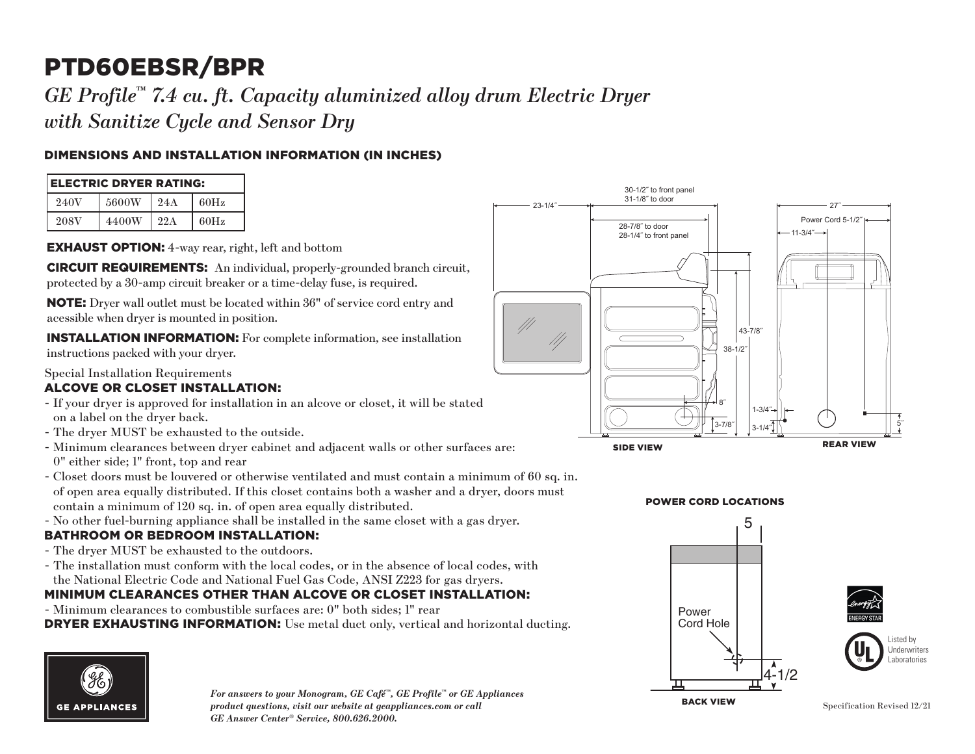# PTD60EBSR/BPR

*GE Profile™ 7.4 cu. ft. Capacity aluminized alloy drum Electric Dryer with Sanitize Cycle and Sensor Dry*

## DIMENSIONS AND INSTALLATION INFORMATION (IN INCHES)

| <b>ELECTRIC DRYER RATING:</b> |       |     |      |
|-------------------------------|-------|-----|------|
| 240V                          | 5600W | 24A | 60Hz |
| 208V                          | 4400W | 22A | 60Hz |

EXHAUST OPTION: 4-way rear, right, left and bottom

CIRCUIT REQUIREMENTS: An individual, properly-grounded branch circuit, protected by a 30-amp circuit breaker or a time-delay fuse, is required.

NOTE: Dryer wall outlet must be located within 36" of service cord entry and acessible when dryer is mounted in position.

INSTALLATION INFORMATION: For complete information, see installation instructions packed with your dryer.

## Special Installation Requirements

## ALCOVE OR CLOSET INSTALLATION:

- If your dryer is approved for installation in an alcove or closet, it will be stated on a label on the dryer back.
- The dryer MUST be exhausted to the outside.
- Minimum clearances between dryer cabinet and adjacent walls or other surfaces are: 0" either side; 1" front, top and rear
- of open area equally distributed. If this closet contains both a washer and a dryer, doors must - Closet doors must be louvered or otherwise ventilated and must contain a minimum of 60 sq. in. contain a minimum of 120 sq. in. of open area equally distributed.
- 2 No other fuel-burning appliance shall be installed in the same closet with a gas dryer.

#### BATHROOM OR BEDROOM INSTALLATION:

- The dryer MUST be exhausted to the outdoors.
- The installation must conform with the local codes, or in the absence of local codes, with the National Electric Code and National Fuel Gas Code, ANSI Z223 for gas dryers.

### MINIMUM CLEARANCES OTHER THAN ALCOVE OR CLOSET INSTALLATION:

**DRYER EXHAUSTING INFORMATION:** Use metal duct only, vertical and horizontal ducting. - Minimum clearances to combustible surfaces are: 0" both sides; 1" rear



*For answers to your Monogram, GE Café™, GE Profile™ or GE Appliances product questions, visit our website at geappliances.com or call GE Answer Center® Service, 800.626.2000.*  $\mathbf{B}$ 



## **POWER CORD LOCATIONS**





Listed by **Underwriters** aboratories

Back View BACK VIEW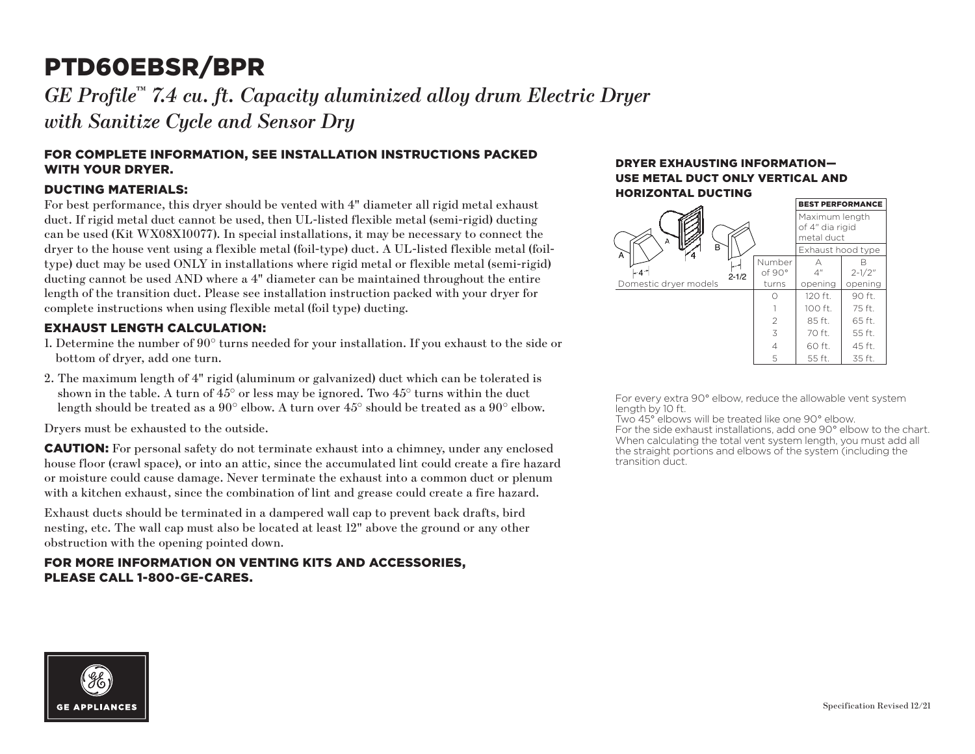## PTD60EBSR/BPR

GE Profile™ 7.4 cu. ft. Capacity aluminized alloy drum Electric Dryer *with Sanitize Cycle and Sensor Dry*

#### FOR COMPLETE INFORMATION, SEE INSTALLATION INSTRUCTIONS PACKED WITH YOUR DRYER.

#### DUCTING MATERIALS:

For best performance, this dryer should be vented with 4" diameter all rigid metal exhaust duct. If rigid metal duct cannot be used, then UL-listed flexible metal (semi-rigid) ducting can be used (Kit WX08X10077). In special installations, it may be necessary to connect the dryer to the house vent using a flexible metal (foil-type) duct. A UL-listed flexible metal (foiltype) duct may be used ONLY in installations where rigid metal or flexible metal (semi-rigid) ducting cannot be used AND where a 4" diameter can be maintained throughout the entire length of the transition duct. Please see installation instruction packed with your dryer for complete instructions when using flexible metal (foil type) ducting.

#### EXHAUST LENGTH CALCULATION:

- 1. Determine the number of 90° turns needed for your installation. If you exhaust to the side or bottom of dryer, add one turn.
- 2. The maximum length of 4" rigid (aluminum or galvanized) duct which can be tolerated is shown in the table. A turn of  $45^{\circ}$  or less may be ignored. Two  $45^{\circ}$  turns within the duct length should be treated as a 90° elbow. A turn over 45° should be treated as a 90° elbow.

Dryers must be exhausted to the outside.

CAUTION: For personal safety do not terminate exhaust into a chimney, under any enclosed house floor (crawl space), or into an attic, since the accumulated lint could create a fire hazard or moisture could cause damage. Never terminate the exhaust into a common duct or plenum with a kitchen exhaust, since the combination of lint and grease could create a fire hazard.

Exhaust ducts should be terminated in a dampered wall cap to prevent back drafts, bird nesting, etc. The wall cap must also be located at least 12" above the ground or any other obstruction with the opening pointed down.

#### FOR MORE INFORMATION ON VENTING KITS AND ACCESSORIES, PLEASE CALL 1-800-GE-CARES.

#### DRYER EXHAUSTING INFORMATION— USE METAL DUCT ONLY VERTICAL AND HORIZONTAL DUCTING



For every extra 90° elbow, reduce the allowable vent system length by 10 ft.

Two 45° elbows will be treated like one 90° elbow. For the side exhaust installations, add one 90° elbow to the chart. When calculating the total vent system length, you must add all the straight portions and elbows of the system (including the transition duct.